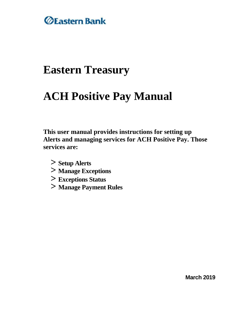

## **Eastern Treasury**

# **ACH Positive Pay Manual**

**This user manual provides instructions for setting up Alerts and managing services for ACH Positive Pay. Those services are:**

- **> Setup Alerts**
- **> Manage Exceptions**
- **> Exceptions Status**
- **> Manage Payment Rules**

**March 2019**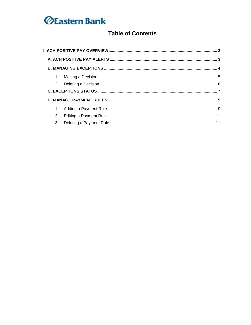### **Table of Contents**

| 2.             |  |
|----------------|--|
|                |  |
|                |  |
|                |  |
| 1 <sub>1</sub> |  |
| 2.             |  |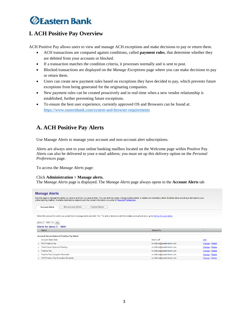### **I. ACH Positive Pay Overview**

ACH Positive Pay allows users to view and manage ACH exceptions and make decisions to pay or return them.

- ACH transactions are compared against conditions, called **payment rules**, that determine whether they are debited from your accounts or blocked.
- If a transaction matches the condition criteria, it processes normally and is sent to post.
- Blocked transactions are displayed on the *Manage Exceptions* page where you can make decisions to pay or return them.
- Users can create new payment rules based on exceptions they have decided to pay, which prevents future exceptions from being generated for the originating companies.
- New payment rules can be created proactively and in real-time when a new vendor relationship is established, further preventing future exceptions.
- To ensure the best user experience, currently approved OS and Browsers can be found at: <https://www.easternbank.com/system-and-browser-requirements>

### **A. ACH Positive Pay Alerts**

Use Manage Alerts to manage your account and non-account alert subscriptions.

Alerts are always sent to your online banking mailbox located on the Welcome page within Positive Pay. Alerts can also be delivered to your e-mail address; you must set up this delivery option on the *Personal Preferences* page.

To access the *Manage Alerts* page:

#### Click **Administration > Manage alerts.**

The *Manage Alerts* page is displayed. The *Manage Alerts* page always opens to the **Account Alerts** tab

| <b>Manage Alerts</b>                                                                                                                                                                                                                                                                                                          |                           |                 |
|-------------------------------------------------------------------------------------------------------------------------------------------------------------------------------------------------------------------------------------------------------------------------------------------------------------------------------|---------------------------|-----------------|
| Use this page to manage the alerts you receive and how you receive them. You can add new alerts, change existing alerts, or delete non-mandatory alerts. Enabled alerts are always delivered to your<br>online banking mailbox. Available destinations depend upon the contact information you enter in Personal Preferences. |                           |                 |
| <b>Non-account Alerts</b><br><b>Custom Alerts</b><br><b>Account Alerts</b>                                                                                                                                                                                                                                                    |                           |                 |
| Select the account for which you would like to manage alerts and click "Go." To add or delete an alert for multiple accounts at once, go to Set Up Account Alerts.                                                                                                                                                            |                           |                 |
| demo 2 - *4691 V<br>Go                                                                                                                                                                                                                                                                                                        |                           |                 |
| Alerts for demo 2 - *4691                                                                                                                                                                                                                                                                                                     |                           |                 |
| <b>Alert</b>                                                                                                                                                                                                                                                                                                                  | <b>Send To</b>            |                 |
| <b>Account Reconciliation &amp; Positive Pay Alerts</b>                                                                                                                                                                                                                                                                       |                           |                 |
| <b>Account Stale Date</b>                                                                                                                                                                                                                                                                                                     | Alert is off              | Add             |
| <b>ACH Positive Pay</b><br>$\checkmark$                                                                                                                                                                                                                                                                                       | m.robbins@easternbank.com | Change . Delete |
| <b>Check Issue Approval Pending</b><br>$\checkmark$                                                                                                                                                                                                                                                                           | m.robbins@easternbank.com | Change . Delete |
| Positive Pay<br>$\checkmark$                                                                                                                                                                                                                                                                                                  | m.robbins@easternbank.com | Change . Delete |
| <b>Positive Pay Exception Reminder</b><br>$\checkmark$                                                                                                                                                                                                                                                                        | m.robbins@easternbank.com | Change . Delete |
| <b>ACH Positive Pay Exception Reminder</b><br>$\checkmark$                                                                                                                                                                                                                                                                    | m.robbins@easternbank.com | Change . Delete |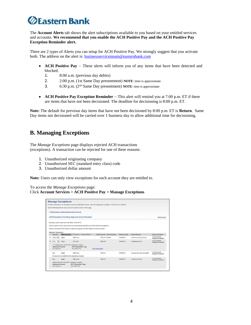The **Account Alerts** tab shows the alert subscriptions available to you based on your entitled services and accounts. **We recommend that you enable the ACH Positive Pay and the ACH Positive Pay Exception Reminder alert.**

There are 2 types of Alerts you can setup for ACH Positive Pay. We strongly suggest that you activate both. The address on the aler[t](ftp://is:_businessservicesteam@easternbank.com/) [is:](mailto:_businessservicesteam@easternbank.com) businessservicesteam@easternbank.com

- **ACH Positive Pay** These alerts will inform you of any items that have been detected and blocked.
	- 1. 8:00 a.m. (previous day debits)
	- 2. 2:00 p.m. (1st Same Day presentment) **NOTE**: time is approximate
	- 3. 6:30 p.m. (2nd Same Day presentment) **NOTE**: time is approximate
- **ACH Positive Pay Exception Reminder** This alert will remind you at 7:00 p.m. ET if there are items that have not been decisioned. The deadline for decisioning is 8:00 p.m. ET.

**Note:** The default for previous day items that have not been decisioned by 8:00 p.m. ET is **Return**. Same Day items not decisioned will be carried over 1 business day to allow additional time for decisioning.

#### **B. Managing Exceptions**

The *Manage Exceptions* page displays rejected ACH transactions (exceptions). A transaction can be rejected for one of three reasons:

- 1. Unauthorized originating company
- 2. Unauthorized SEC (standard entry class) code
- 3. Unauthorized dollar amount

**Note:** Users can only view exceptions for each account they are entitled to.

To access the *Manage Exceptions* page: Click **Account Services > ACH Positive Pay > Manage Exceptions**

|                           |                                                    |                                                                                                      | To make a decision on an exception, choose an applicable decision, check the appropriate exceptions, and then click "Continue". |                |                           |                                      |
|---------------------------|----------------------------------------------------|------------------------------------------------------------------------------------------------------|---------------------------------------------------------------------------------------------------------------------------------|----------------|---------------------------|--------------------------------------|
|                           |                                                    | Use the following links for easy access to specific sections of this page.                           |                                                                                                                                 |                |                           |                                      |
|                           | . ACH Exceptions Awarting Approval and/or Decision |                                                                                                      |                                                                                                                                 |                |                           |                                      |
|                           |                                                    | <b>ACH Exceptions Awaiting Approval and/or Decision</b>                                              |                                                                                                                                 |                |                           | Return to top                        |
|                           | Decisions can be made from 8:00 AM to 3:00 PM FT.  |                                                                                                      |                                                                                                                                 |                |                           |                                      |
|                           |                                                    | ACH exceptions with a 'Pay' decision are automatically added to your list of authorized originators' |                                                                                                                                 |                |                           |                                      |
|                           |                                                    |                                                                                                      |                                                                                                                                 |                |                           |                                      |
|                           |                                                    | Checks converted to ACH electronic payments appear with 'ACH' beside the check number.               |                                                                                                                                 |                |                           |                                      |
|                           |                                                    |                                                                                                      |                                                                                                                                 |                |                           |                                      |
| Select all . Deselect all |                                                    |                                                                                                      |                                                                                                                                 |                |                           |                                      |
| Decision                  | <b>Debit Account</b>                               | Ociginator Company Name                                                                              | Debit Amount Check Number                                                                                                       | Effective Date | Reject Reason             | <b>Approval Status</b>               |
| Return =                  | $-4511$                                            | ABC Corp.                                                                                            | \$765.43 124569                                                                                                                 | 10/09/2014     | Unauthorized Ong. Comp.   | 1 of 2 received<br>Ready to transmit |
| Pay<br>im.                | 14512                                              | ZIP Corp.                                                                                            | \$396.46                                                                                                                        | 10/09/2014     | Unauthorized Sec.         | 0 of 2 received<br>Ready to transmit |
|                           |                                                    | 5. Add payment rule for this originating company                                                     |                                                                                                                                 |                |                           |                                      |
| <b>Maximum Amount</b>     |                                                    | <b>ACH Transaction Type</b>                                                                          |                                                                                                                                 |                |                           |                                      |
| No maximum                |                                                    | ALL-Select All                                                                                       | Edit authorization                                                                                                              |                |                           |                                      |
| $P_{\text{HV}}$           | 14512                                              | ABC Corp.                                                                                            | \$700.43                                                                                                                        | 10/09/2014     | Unauthorized Ong. Comp528 | 1 of 2 received                      |
|                           |                                                    | No payment rule added for this originating company                                                   |                                                                                                                                 |                |                           | Ready to transmit                    |
| $P_{Hf}$                  | 14612                                              | ABC Carp                                                                                             | \$650.43                                                                                                                        | 10/09/2014     | Unauthorized Sec          | 1 of 2 received<br>Ready to transmit |
|                           | Added payment rule for this originating company    |                                                                                                      |                                                                                                                                 |                |                           |                                      |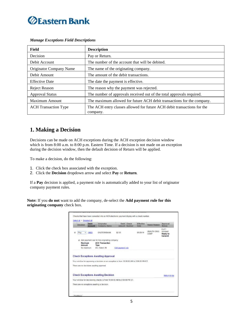

*Manage Exceptions Field Descriptions*

| Field                       | <b>Description</b>                                                                  |
|-----------------------------|-------------------------------------------------------------------------------------|
| Decision                    | Pay or Return.                                                                      |
| Debit Account               | The number of the account that will be debited.                                     |
| Originator Company Name     | The name of the originating company.                                                |
| Debit Amount                | The amount of the debit transactions.                                               |
| <b>Effective Date</b>       | The date the payment is effective.                                                  |
| <b>Reject Reason</b>        | The reason why the payment was rejected.                                            |
| <b>Approval Status</b>      | The number of approvals received out of the total approvals required.               |
| <b>Maximum Amount</b>       | The maximum allowed for future ACH debit transactions for the company.              |
| <b>ACH</b> Transaction Type | The ACH entry classes allowed for future ACH debit transactions for the<br>company. |

#### **1. Making a Decision**

Decisions can be made on ACH exceptions during the ACH exception decision window which is from 8:00 a.m. to 8:00 p.m. Eastern Time. If a decision is not made on an exception during the decision window, then the default decision of Return will be applied.

To make a decision, do the following:

- 1. Click the check box associated with the exception.
- 2. Click the **Decision** dropdown arrow and select **Pay** or **Return**.

If a **Pay** decision is applied, a payment rule is automatically added to your list of originator company payment rules.

**Note:** If you **do not** want to add the company, de-select the **Add payment rule for this originating company** check box.

| <b>Decision</b>   | Debit<br>Account | Originator<br>Company Name                     | Debit Check<br>Amount Number                                                               | Effective<br><b>Date</b> | Reject Reason              | Approval<br>Status                             |
|-------------------|------------------|------------------------------------------------|--------------------------------------------------------------------------------------------|--------------------------|----------------------------|------------------------------------------------|
| Pav<br>$\bullet$  | *4603            | EASTERNBANK                                    | \$2.05                                                                                     | 05/20/14                 | UNAUTH ORIG<br><b>COMP</b> | $0$ of $1$<br>received<br>Ready to<br>transmit |
|                   |                  | Add payment rule for this originating company. |                                                                                            |                          |                            |                                                |
| Maximum<br>Amount |                  | <b>ACH Transaction</b><br>Type                 |                                                                                            |                          |                            |                                                |
| No maximum        |                  | ALL-Select All                                 | Edit payment rule                                                                          |                          |                            |                                                |
|                   |                  | <b>Check Exceptions Awaiting Approval</b>      |                                                                                            |                          |                            |                                                |
|                   |                  | There are no decisions awaring approval.       | Your window for approving a decision on an exception is from 10:00:00 AM to 2:00:00 PM ET. |                          |                            |                                                |
|                   |                  | <b>Check Exceptions Awaiting Decision</b>      |                                                                                            |                          |                            | Return to too                                  |
|                   |                  |                                                | Your window for decisioning checks is from 10:00:00 AM to 2:00:00 PM ET.                   |                          |                            |                                                |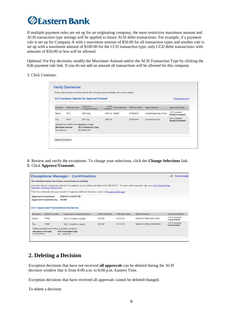If multiple payment rules are set up for an originating company, the most restrictive maximum amount and ACH transaction type settings will be applied to future ACH debit transactions. For example, if a payment rule is set up for Company A with a maximum amount of \$50.00 for all transaction types and another rule is set up with a maximum amount of \$100.00 for the CCD transaction type, only CCD debit transactions with amounts of \$50.00 or less will be allowed.

Optional: For Pay decisions, modify the Maximum Amount and/or the ACH Transaction Type by clicking the Edit payment rule link. If you do not add an amount all transactions will be allowed for this company.

3. Click Continue.

|                       |                                               | <b>ACH Decisions Selected for Approval/Transmit</b> |                 |              |                       |                          | <b>Change Selections</b>             |
|-----------------------|-----------------------------------------------|-----------------------------------------------------|-----------------|--------------|-----------------------|--------------------------|--------------------------------------|
| Decision              | <b>Debit Account</b>                          | Originator<br>Company Name                          | Dobit<br>Amount | Check Number | <b>Effective Date</b> | Reject Reason            | Approval Status                      |
| Return                | *4511                                         | ABC Corp                                            | \$765.43 124569 |              | 07/08/2014            | Unauthorized Orig. Comp. | 1 of 2 received<br>Ready to transmit |
| Pay                   | $*4512$                                       | ZIP Corp                                            | S895.46         |              | 07/08/2014            | Unauthorized Sec.        | 0 of 2 received<br>Ready to transmit |
| <b>Maximum Amount</b> | Add payment rule for this originating company | <b>ACH Transaction Type</b>                         |                 |              |                       |                          |                                      |
| No maximum            |                                               | ALL-Select All                                      |                 |              |                       |                          |                                      |

4. Review and verify the exceptions. To change your selections, click the **Change Selections** link. 5. Click **Approve/Transmit**.

|          |                                                | <b>Exceptions Manager - Confirmation</b>                                                                                                          |                     |                       |                      |                    | Print this page                       |
|----------|------------------------------------------------|---------------------------------------------------------------------------------------------------------------------------------------------------|---------------------|-----------------------|----------------------|--------------------|---------------------------------------|
|          |                                                | The decisions below have been transmitted successfully.                                                                                           |                     |                       |                      |                    |                                       |
|          | <b>Originator Company Maintenance</b>          | Payment rules for current day paid ACH exceptions can be added and edited until 3:00 PM ET. To add or edit a payment rule, go to ACH Positive Pay |                     |                       |                      |                    |                                       |
|          |                                                | Print this confirmation for your records. To approve additional decisions, return to Exceptions Manager.                                          |                     |                       |                      |                    |                                       |
|          | Approved/Transmitted:                          | 9/28/2011 1:22:01 PM                                                                                                                              |                     |                       |                      |                    |                                       |
|          | Approved/Transmitted by:                       | <b>JKEMP</b>                                                                                                                                      |                     |                       |                      |                    |                                       |
|          | <b>ACH Approved/Transmitted Decisions</b>      |                                                                                                                                                   |                     |                       |                      |                    |                                       |
| Decision | <b>Debit Account</b>                           | <b>Originator Company Name</b>                                                                                                                    | <b>Debit Amount</b> | <b>Effective Date</b> | Reject Reason        |                    | <b>Approval Status</b>                |
| Return   | 7892                                           | <b>TEST COMPNY NAMB</b>                                                                                                                           | \$12.00             | 01/13/10              | UNAUTH ORIG SEC 0510 |                    | 1 of 1 received<br><b>Transmitted</b> |
| Pay      | 7893                                           | <b>TEST COMPNY NAMC</b>                                                                                                                           | \$10.00             | 01/13/10              | UNAUTH ORIG COMP0520 | <b>Transmitted</b> | 1 of 1 received                       |
|          | Added payment rule for this orginating company |                                                                                                                                                   |                     |                       |                      |                    |                                       |
|          | <b>Maximum Amount</b>                          | <b>ACH Transaction Type</b>                                                                                                                       |                     |                       |                      |                    |                                       |

### **2. Deleting a Decision**

Exception decisions that have not received **all approvals** can be deleted during the ACH decision window that is from 8:00 a.m. to 8:00 p.m. Eastern Time.

Exception decisions that have received all approvals cannot be deleted/changed.

To delete a decision: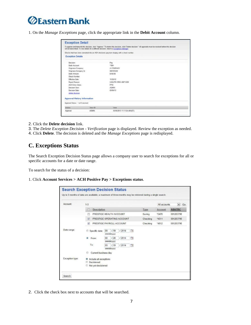## *<u>ØEastern Bank</u>*

1. On the *Manage Exceptions* page, click the appropriate link in the **Debit Account** column.

| <b>Exception Detail</b>                                                                                                                                                                                                                                       |         |                                                                                             |  |  |  |              |
|---------------------------------------------------------------------------------------------------------------------------------------------------------------------------------------------------------------------------------------------------------------|---------|---------------------------------------------------------------------------------------------|--|--|--|--------------|
| To approve and transmit this decision, click "Approve." To delete this decision, click "Delete decision." All approvals must be received before this decision<br>will be transmitted. To view details for a different decision, return to Exceptions Manager. |         |                                                                                             |  |  |  |              |
|                                                                                                                                                                                                                                                               |         | Checks that have been converted into an ACH electronic payment display with a check number. |  |  |  |              |
| <b>Exception Details</b>                                                                                                                                                                                                                                      |         |                                                                                             |  |  |  |              |
| Decision                                                                                                                                                                                                                                                      |         | Pay                                                                                         |  |  |  |              |
| <b>Debit Account</b>                                                                                                                                                                                                                                          |         | *7891                                                                                       |  |  |  |              |
| Driginator Company:                                                                                                                                                                                                                                           |         | A COMPANY                                                                                   |  |  |  |              |
| Driginator Company Id:<br>Debit Amount:                                                                                                                                                                                                                       |         | 000123456<br>\$100.00                                                                       |  |  |  |              |
|                                                                                                                                                                                                                                                               |         |                                                                                             |  |  |  | Check Number |
| Effective Date:                                                                                                                                                                                                                                               |         | 11/29/12                                                                                    |  |  |  |              |
| Reject Reason:                                                                                                                                                                                                                                                |         | UNAUTH ORIG AMT \$520                                                                       |  |  |  |              |
| <b>ACH Entry Class:</b>                                                                                                                                                                                                                                       |         | <b>PPD</b>                                                                                  |  |  |  |              |
| Decision User:                                                                                                                                                                                                                                                |         | <b>ADMIN</b>                                                                                |  |  |  |              |
| Decision Oate:                                                                                                                                                                                                                                                |         | 03/06/13                                                                                    |  |  |  |              |
| delate decision                                                                                                                                                                                                                                               |         |                                                                                             |  |  |  |              |
| <b>Approval History Information</b>                                                                                                                                                                                                                           |         |                                                                                             |  |  |  |              |
| Approval Status: 1 of 2 received                                                                                                                                                                                                                              |         |                                                                                             |  |  |  |              |
| Action                                                                                                                                                                                                                                                        | Heer ID | Data                                                                                        |  |  |  |              |
| Approval                                                                                                                                                                                                                                                      | ADMIN   | 03/06/2013 11:11:24 AM (ET)                                                                 |  |  |  |              |

2. Click the **Delete decision** link.

3. The *Delete Exception Decision - Verification* page is displayed. Review the exception as needed.

4. Click **Delete**. The decision is deleted and the *Manage Exceptions* page is redisplayed.

#### **C. Exceptions Status**

The Search Exception Decision Status page allows a company user to search for exceptions for all or specific accounts for a date or date range.

To search for the status of a decision:

1. Click **Account Services > ACH Positive Pay > Exceptions status**.

| Account:        | $1 - 3$                                                                            |                                                                                                                  |                        |          | All accounts | $\overline{ }$<br>Go |
|-----------------|------------------------------------------------------------------------------------|------------------------------------------------------------------------------------------------------------------|------------------------|----------|--------------|----------------------|
|                 | m<br>Description                                                                   |                                                                                                                  |                        | Type     | Account      | <b>ABA/TRC</b>       |
|                 | 巴                                                                                  | PRESTIGE HEALTH ACCOUNT                                                                                          |                        | Saving   | 2470         | 081203790            |
|                 | 図                                                                                  | PRESTIGE OPERATING ACCOUNT                                                                                       | Checking               | $*4511$  | 081203790    |                      |
|                 | $\overline{u}$                                                                     | PRESTIGE PAYROLL ACCOUNT                                                                                         |                        | Checking | $*4512$      | 081203790            |
| Date range:     | Specific date:<br>From<br>To                                                       | /2014<br>119<br>09<br>(mm/dd/yyyy)<br>1/20<br>12014<br>08<br>(mm/dd/yyyy)<br>12014<br>119<br>09<br>(mm/ddi/yyyy) | Ō<br>$\sqrt{10}$<br>m, |          |              |                      |
| Exception type: | Current business day<br>Include all exceptions<br>Decisioned<br>Not yet decisioned |                                                                                                                  |                        |          |              |                      |

2. Click the check box next to accounts that will be searched.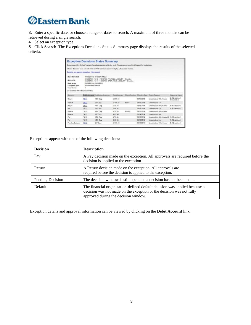

3. Enter a specific date, or choose a range of dates to search. A maximum of three months can be retrieved during a single search.

4. Select an exception type.

5. Click **Search**. The Exceptions Decisions Status Summary page displays the results of the selected criteria.

|                                                 |                                                                                                                                                                              | <b>Exception Decisions Status Summary</b>                                                                                 |                 |                                         |                        |                                             |  |                                |
|-------------------------------------------------|------------------------------------------------------------------------------------------------------------------------------------------------------------------------------|---------------------------------------------------------------------------------------------------------------------------|-----------------|-----------------------------------------|------------------------|---------------------------------------------|--|--------------------------------|
|                                                 |                                                                                                                                                                              | Exceptions with a "Default" decision have been decisioned by the bank. Please contact your Bank Support for the decision. |                 |                                         |                        |                                             |  |                                |
|                                                 |                                                                                                                                                                              | Checks that have been converted into an ACH electronic payment display with a check number.                               |                 |                                         |                        |                                             |  |                                |
| Decision and approval occeptions   New search   |                                                                                                                                                                              |                                                                                                                           |                 |                                         |                        |                                             |  |                                |
| Report created:                                 | 09/19/2014 at 09:52:57 AM (ET)                                                                                                                                               |                                                                                                                           |                 |                                         |                        |                                             |  |                                |
| Accounts:                                       | 081203790 - "#512 - PRESTIGE PAYROLL ACCOUNT - Checking<br>081203780 - * 4511 - PRESTIGE OPERATING ACCOUNT - Checking<br>08/20/2014 to 09/19/2014<br>Include all escaptions. |                                                                                                                           |                 |                                         |                        |                                             |  |                                |
| Date range:<br>Exception type:<br>Total items:  |                                                                                                                                                                              |                                                                                                                           |                 |                                         |                        |                                             |  |                                |
| (To view stelaris, click on the account number) |                                                                                                                                                                              |                                                                                                                           |                 |                                         |                        |                                             |  |                                |
| Decision                                        |                                                                                                                                                                              | <b>Debit Account</b> Originator Company                                                                                   |                 | Debit Amount Check Number EBactive Date |                        | <b>Reject Reason</b>                        |  | Approval Status                |
| Return                                          | 14511                                                                                                                                                                        | ABC Carp                                                                                                                  | EADIN 43        |                                         | 09/15/2014             | Unauthorized Orig. Comp.                    |  | 2 of 2 received<br>Transmitted |
| Default                                         | 14511                                                                                                                                                                        | ZIP Corp.                                                                                                                 | <b>S7005 46</b> | 924587                                  | D9/16/2014             | Unauthorized Sec                            |  |                                |
| Return                                          | 14511                                                                                                                                                                        | ABC Carp                                                                                                                  | \$765.43        |                                         | 09/19/2014             | Unauthorized Orig. Comp.                    |  | 1 of 3 raceived                |
| Pay                                             | 14611                                                                                                                                                                        | 21P Corp.                                                                                                                 | 5395.46         |                                         | <b><i>DECEMBER</i></b> | Unauthorized Sec.                           |  | 1-of 3 received                |
| Delauft                                         | 14512                                                                                                                                                                        | ABC Corp.                                                                                                                 | 5766.43         | 124569                                  | 09/11/2014             | Unauthorized Orig. Comp.                    |  |                                |
|                                                 | $-4512$                                                                                                                                                                      | ZIP Carp                                                                                                                  | <b>SSGC 46</b>  |                                         | 09/14/2014             | Unauthorized Sec                            |  |                                |
| Default                                         |                                                                                                                                                                              |                                                                                                                           |                 |                                         |                        | Unauthorized Orio, Comp528, 1 of 2 received |  |                                |
| Pay                                             | *4512                                                                                                                                                                        | ABC Carp.                                                                                                                 | 5700.43         |                                         | 09/19/2014             |                                             |  |                                |
| Pay                                             | "4512                                                                                                                                                                        | ABC Carp                                                                                                                  | 5650.43         |                                         | 05/19/2014             | Unauthorized Sec.                           |  | 1 of 2 received                |

Exceptions appear with one of the following decisions:

| <b>Decision</b>  | <b>Description</b>                                                                                                                                                                        |
|------------------|-------------------------------------------------------------------------------------------------------------------------------------------------------------------------------------------|
| Pay              | A Pay decision made on the exception. All approvals are required before the<br>decision is applied to the exception.                                                                      |
| Return           | A Return decision made on the exception. All approvals are<br>required before the decision is applied to the exception.                                                                   |
| Pending Decision | The decision window is still open and a decision has not been made.                                                                                                                       |
| Default          | The financial organization-defined default decision was applied because a<br>decision was not made on the exception or the decision was not fully<br>approved during the decision window. |

Exception details and approval information can be viewed by clicking on the **Debit Account** link.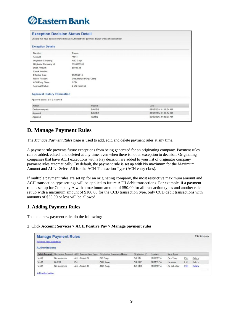| <b>Exception Decision Status Detail</b> |                                                                                             |                        |
|-----------------------------------------|---------------------------------------------------------------------------------------------|------------------------|
|                                         | Checks that have been converted into an ACH electronic payment display with a check number. |                        |
| <b>Exception Details</b>                |                                                                                             |                        |
| Decision:                               | Return                                                                                      |                        |
| Account                                 | $*4511$                                                                                     |                        |
| Originator Company:                     | ABC Corp                                                                                    |                        |
| Originator Company Id:                  | 1555665555                                                                                  |                        |
| Debit Amount                            | \$8005.43                                                                                   |                        |
| Check Number:                           |                                                                                             |                        |
| Effective Date:                         | 09/15/2014                                                                                  |                        |
| Reject Reason:                          | Unauthorized Orig. Comp                                                                     |                        |
| <b>ACH Entry Class:</b>                 | CCD                                                                                         |                        |
| Approval Status:                        | 2 of 2 received                                                                             |                        |
| <b>Approval History Information</b>     |                                                                                             |                        |
| Approval status: 2 of 2 received        |                                                                                             |                        |
| <b>Action</b>                           | Userid                                                                                      | Date.                  |
| Decision request                        | DAVID2                                                                                      | 09/15/2014 11:18:34 AM |
| Approval                                | DAVID2                                                                                      | 09/15/2014 11:18:34 AM |
| Approval                                | <b>ADMIN</b>                                                                                | 09/15/2014 11:18:34 AM |

### **D. Manage Payment Rules**

The *Manage Payment Rules* page is used to add, edit, and delete payment rules at any time.

A payment rule prevents future exceptions from being generated for an originating company. Payment rules can be added, edited, and deleted at any time, even when there is not an exception to decision. Originating companies that have ACH exceptions with a Pay decision are added to your list of originator company payment rules automatically. By default, the payment rule is set up with No maximum for the Maximum Amount and ALL - Select All for the ACH Transaction Type (ACH entry class).

If multiple payment rules are set up for an originating company, the most restrictive maximum amount and ACH transaction type settings will be applied to future ACH debit transactions. For example, if a payment rule is set up for Company A with a maximum amount of \$50.00 for all transaction types and another rule is set up with a maximum amount of \$100.00 for the CCD transaction type, only CCD debit transactions with amounts of \$50.00 or less will be allowed.

#### **1. Adding Payment Rules**

To add a new payment rule, do the following:

1. Click **Account Services > ACH Positive Pay > Manage payment rules**.

| Payment rules guidelines | <b>Manage Payment Rules</b> |                             |                                |                      |            |                  |      | Print this page |
|--------------------------|-----------------------------|-----------------------------|--------------------------------|----------------------|------------|------------------|------|-----------------|
| Authorizations           |                             |                             |                                |                      |            |                  |      |                 |
| <b>Debit Account</b>     | <b>Maximum Amount</b>       | <b>ACH Transaction Type</b> | <b>Originator Company Name</b> | <b>Criginator ID</b> | Expires    | <b>Rule Type</b> |      |                 |
| 14512                    | No maximum                  | ALL - Select All            | ZIP Corp                       | <b>ACHID</b>         | 10/11/2014 | One-Time         | Edit | Delete          |
| 14611                    | \$50.00                     | IAT                         | ABC Corp                       | ACHID2               | 10/11/2014 | Ongoing          | Edit | Delete          |
| "4511                    | No maximum                  | ALL - Select All            | ABC Corp.                      | ACHID3               | 10/11/2014 | Do not allow     | Eat  | Dalsta          |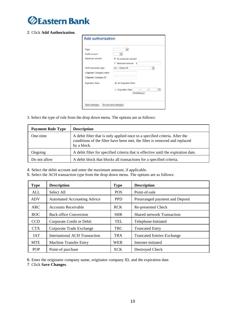

#### 2. Click **Add Authorization**.

| Type:                    | $\bullet$                                  |
|--------------------------|--------------------------------------------|
| Debit account:           |                                            |
| Maximum amount:          | No maximum amount                          |
|                          | 6 Maximum amount 5                         |
| ACH transaction type:    | ALL - Select All                           |
| Originator Company name: |                                            |
| Originator Company ID:   |                                            |
| Expiration Date:         | No Expiration Date                         |
|                          | I <br>E<br>Expiration Date<br>(mm/dd/yyyy) |

3. Select the type of rule from the drop down menu. The options are as follows:

| <b>Payment Rule Type</b> | <b>Description</b>                                                                                                                                                       |
|--------------------------|--------------------------------------------------------------------------------------------------------------------------------------------------------------------------|
| One-time                 | A debit filter that is only applied once to a specified criteria. After the<br>conditions of the filter have been met, the filter is removed and replaced<br>by a block. |
| Ongoing                  | A debit filter for specified criteria that is effective until the expiration date.                                                                                       |
| Do not allow             | A debit block that blocks all transactions for a specified criteria.                                                                                                     |

4. Select the debit account and enter the maximum amount, if applicable.

5. Select the ACH transaction type from the drop down menu. The options are as follows:

| <b>Type</b> | <b>Description</b>                 | <b>Type</b> | <b>Description</b>                |
|-------------|------------------------------------|-------------|-----------------------------------|
| <b>ALL</b>  | Select All                         | <b>POS</b>  | Point-of-sale                     |
| <b>ADV</b>  | <b>Automated Accounting Advice</b> | <b>PPD</b>  | Prearranged payment and Deposit   |
| <b>ARC</b>  | <b>Accounts Receivable</b>         | <b>RCK</b>  | Re-presented Check                |
| <b>BOC</b>  | <b>Back office Conversion</b>      | <b>SHR</b>  | <b>Shared network Transaction</b> |
| <b>CCD</b>  | Corporate Credit or Debit          | TEL         | Telephone-Initiated               |
| <b>CTX</b>  | Corporate Trade Exchange           | <b>TRC</b>  | <b>Truncated Entry</b>            |
| <b>IAT</b>  | International ACH Transaction      | <b>TRX</b>  | <b>Truncated Entries Exchange</b> |
| <b>MTE</b>  | <b>Machine Transfer Entry</b>      | <b>WEB</b>  | Internet-initiated                |
| <b>POP</b>  | Point-of purchase                  | <b>XCK</b>  | Destroyed Check                   |

6. Enter the originator company name, originator company ID, and the expiration date.

7. Click **Save Changes**.